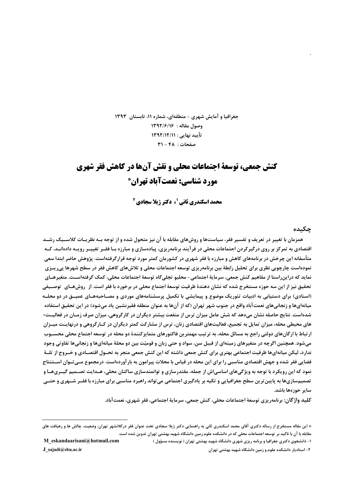جغرافیا و آمایش شهری - منطقهای، شماره ۱۱، تابستان ۱۳۹۳ وصول مقاله : ١٣٩٢/٦١٤ تأييد نهايي : ١٣٩٢/١٢/١ صفحات: ۴۸ - ۳۱

# کنش حمعی، توسعهٔ احتماعات محلی و نقش آنها در کاهش فقر شهری مورد شناسي: نعمتآباد تهران\*

محمد اسکندری ثانی <sup>1</sup>، دکتر ژیلا سجادی <sup>2</sup>

#### جكىدە

همزمان با تغییر در تعریف و تفسیر فقر، سیاستها و روشهای مقابله با آن نیز متحول شده و از توجه بــه نظریــات کلاســیک رشــد اقتصادی به تمرکز بر روی درگیرکردن اجتماعات محلی در فرآیند برنامهریزی، پیادهسازی و مبارزه بـا فقــر تغییــر رویــه دادهانــد، کــه متأسفانه این چرخش در برنامههای کاهش و مبارزه با فقر شهری در کشورمان کمتر مورد توجه قرارگرفتهاست. پژوهش حاضر ابتدا سعی نمودهاست چارچوبی نظری برای تحلیل رابطهٔ بین برنامهریزی توسعه اجتماعات محلی و تلاش۵های کاهش فقر در سطح شهرها پی٫یـزی نمايد كه دراين,راستا از مفاهيم كنش جمعي، سرماية اجتماعي– محليو تجلي¢اه توسعة اجتماعات محلي، كمک گرفتهاســت. متغيرهــاي تحقیق نیز از این سه حوزه مستخرج شده که نشان دهندهٔ ظرفیت توسعهٔ اجتماع محلی در برخورد با فقر است. از روشهـای توصـیفی (اسنادی) برای دستیابی به ادبیات تئوریک موضوع و پیمایشی با تکمیل پرسشنامههای موردی و مصـاحبههـای عمیــق در دو محلــه میانهایها و زنجانیهای نعمتآباد واقع در جنوب شهر تهران (که از آنها به عنوان منطقه فقیرنشین یاد میشود) در این تحقیق استفاده شدهاست. نتایج حاصله نشان میدهد که شش عامل میزان ترس از منفعت بیشتر دیگران در کارگروهی، میزان صرف زمـان در فعالیـت-های محیطی محله، میزان تمایل به تجمیع، فعالیتهای اقتصادی زنان، ترس از مشارکت کمتر دیگران در کــارگروهی و درنهایـت میــزان ارتباط با ارگانهای دولتی راجع به مسائل محله، به ترتیب مهمترین فاکتورهای متمایزکنندهٔ دو محله در توسعه اجتماع محلی محســوب می شود. همچنین اگرچه در متغیرهای زمینهای از قبیل سن، سواد و حتی زبان و قومیّت بین دو محلهٔ میانهایها و زنجانی ها تفاوتی وجود ندارد، لیکن میانهایها ظرفیت اجتماعی بهتری برای کنش جمعی داشته که این کنش جمعی منجر به تحــول اقتصــادی و خــروج از تلــهٔ فضایی فقر شده و جهش اقتصادی مناسبی را برای این محله در قیاس با محلات پیرامون به بارآوردهاست. درمجموع مــی تــوان اســتنتاج نمود که این رویکرد با توجه به ویژگیهای اساسی|ش از جمله، مقتدرسازی و توانمندسازی ساکنان محلی، هــدایت تصــمیم گیــریهــا و تصمیمسازیها به پایین ترین سطح جغرافیایی و تکیه بر پادگیری اجتماعی می تواند راهبرد مناسبی برای مبارزه با فقــر شــهری و حتــی ساير حوزەھا باشد.

كليد واژگان: برنامەریزی توسعۀ اجتماعات محلی، کنش جمعی، سرمایۀ اجتماعی، فقر شهری، نعمتآباد.

<sup>\*</sup> این مقاله مستخرج از رساله دکتری آقای محمد اسکندری ثانی به راهنمایی دکتر ژیلا سجادی تحت عنوان فقر درکلانشهر تهران، وضعیت، چالش ها و رهیافت های .<br>مقابله با آن با تاکید بر توسعه اجتماعات محلی که در دانشکده علوم زمین دانشگاه شهید بهشتی تهران تدوین شده است.

۱- دانشجوی دکتری جغرافیا و برنامه ریزی شهری دانشگاه شهید بهشتی تهران ( نویسنده مسؤول ) ۲- استادیار دانشکده علوم و زمین دانشگاه شهید بهشتی تهران

M eskandaarisani@hotmail.com J sajadi@sbu.ac.ir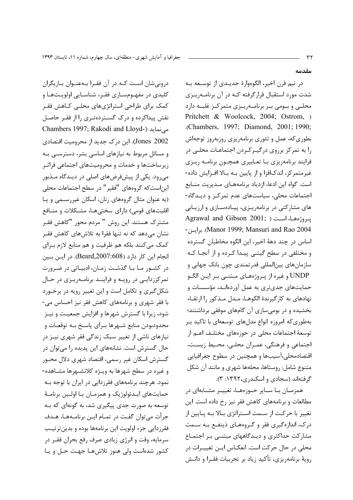درونیشان است کـه در آن فقـرا بـهعنـوان بـازیگران کلیدی در مفهـومسـازی فقـر، شناسـایی اولویـتهـا و کمک برای طراحی استراتژیهای محلبی کـاهش فقـر نقش پیداکرده و درک گستردهتری را از فقر حاصل Chambers 1997; Rakodi and Lloyd-) می نماید Jones 2002). این درک جدید از محرومیت اقتصادی و مسائل مربوط به نیازهای اساسی بشر، دسترســی بـه زیرساختها و خدمات و محرومیتهای اجتماعی فراتـر میرود. یکی از پیشفرضهای اصلی در دیـدگاه مـذبور این|ست که گروههای "فقیر" در سطح اجتماعات محلی (به عنوان مثال گروههای زنان، اسکان غیررسـمی و پـا اقلیتهای قومی) دارای سختیهـا، مشـكلات و منـافع مشترک هستند. این روش " مردم محور "کاهش فقـر نشان می،دهد که نه تنها فقرا به تلاشهای کاهش فقـر كمك مى كنند بلكه هم ظرفيت و هم منابع لازم براي انجام این کار دارد (Beard,2007:608). در این بین در کشـور مـا بـا گذشـت زمـان، ادبيـاتي در ضـرورت تمرکززدایی در رویـه و فراینـد برنامـهریـزی در حـال شکل گیری و تکامل است و این تغییر رویه در برخـورد با فقر شهری و برنامههای کاهش فقر نیز احساس می-شود، زیرا با گسترش شهرها و افزایش جمعیت و نیـز محدودبودن منابع شـهرها بـراي پاسـخ بـه توقعـات و نیازهای ناشی از تغییر سبک زندگی فقر شهری نیـز در حال گسترش است. نشانههای این پدیده را می توان در گسترش اسکان غیر رسمی، اقتصاد شهری دلال محـور و غیره در سطح شهرها به ویـژه کلانشـهرها مشـاهده-نمود. هرچند برنامههای فقرزدایی در ایران با توجه بـه حمایتهای ایـدئولوژیک و همزمـان بـا اولـین برنامـهٔ توسعه به صورت جدی پیگیری شد، به گونهای که بـه جرأت مي توان گفت در تمـام ايــن برنامــههـا، هــدف فقرزدایی جزء اولویت این برنامهها بوده و بدینترتیب سرمایه، وقت و انرژی زیادی صرف رفع بحران فقـر در کشور شدهاست ولي هنوز تلاشهـا جهـت حـل و يـا

شدت مورد استقبال قرارگرفته کـه در آن برنامـهريـزى محلـی و بـومی بـر برنامــهریـزی متمرکـز غلبــه دارد Pritchett & Woolcock, 2004; Ostrom, ) .(Chambers, 1997; Diamond, 2001; 1990; بطوری که، عمل و تئوری برنامهریزی روزبهروز توجهاش را به تمرکز برروی درگیـرکـردن اجتماعـات محلـى در فرایند برنامهریزی با تعـابیری همچـون برنامـه ریـزی غیرمتمرکز، اندکافزا و از پایین بـه بـالا افـزایش داده-است. گواه این ادعا، ازدیاد برنامههـای مـدیریت منـابع اجتماعات محلی، سیاستهای عدم تمرکز و دیدگاه-های مشارکتی در برنامهریزی، پیادهسازی و ارزیابی Agrawal and Gibson 2001; ) يروژەهيا، است ( - Manor 1999; Mansuri and Rao 2004). برايىن اساس در چند دههٔ اخیر، این الگوه مخاطبان گسترده و مختلفی در سطح گیتبی پیدا کرده و از آنجا کـه سازمانهاي بين|لمللي قدرتمندي چون بانک جهاني و UNDP و غيره از پـروژههـاي مبتنـي بـر ايــن الگــو حمایتهای جدیتری به عمل آوردهانـد، مؤسسـات و نهادهای به کارگیرندهٔ الگوهـا، مـدل مـذکور را ارتقـاء بخشیده و در بومیسازی آن گامهای موفقی برداشتند؛ بهطوری که امروزه انواع مدلهای توسعهای با تاکید بـر توسعهٔ اجتماعات محلی در حوزههای مختلـف اعـم از اجتماعی و فرهنگی، عمـران محلـی، محـیط زیسـت، اقتصادمحلي،آسيبها و همچنين در سطوح جغرافيايي متنوع شامل: روستاها، محلهها شهري و مانند آن شكل

در نيم قرن اخير، الگوهوارهٔ جديـدى از توسـعه بـه

همزمـان بــا ســاير حــوزههــا، تغييــر مشــابهاي در مطالعات و برنامههای کاهش فقر نیز رخ داده است. این تغییر با حرکت از سـمت اسـتراتژی بـالا بـه پـایین از درک، اندازهگیری فقر و گروههای ذینفع بـه سـمت مشارکت حداکثری و دیـدگاههای مبتنـی بـر اجتمـاع محلی در حال حرکت است. انعکـاس ایــن تغییــرات در رويهٔ برنامهريزي، تأكيد زياد بر تجربيات فقـرا و دانــش

گرفتهاند (سجادی و اسکندری، ۱۳۹۲: ۳).

مقدمه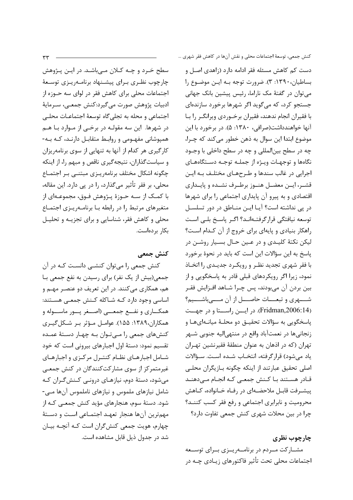$rr$ 

سطح خـرد و چـه کـلان مـیباشـد. در ایـن پـژوهش چارچوب نظـری بـرای پیشـنهاد برنامـهریـزی توسـعهٔ اجتماعات محلی برای کاهش فقر در لوای سه حــوزه از ادبيات پژوهش صورت مي گيرد:كنش جمعـي، سـرمايهٔ اجتماعي و محله به تجلي گاه توسعهٔ اجتماعـات محلـي در شهرها. این سه مقولـه در برخـی از مـوارد بـا هـم همیوشانی مفهـومی و روابـط متقابـل دارنـد، کـه بـه-کارگیری هر کدام از آنها به تنهایی از سوی برنامهریزان و سیاست گذاران، نتیجه گیری ناقص و مبهم را، از اینکه چگونه اشکال مختلف برنامهريـزي مبتنـي بـر اجتمـاع محلي، ٻر فقر تأثير مي گذارد، را در پي دارد. اين مقاله، با کمـک از سـه حـوزهٔ پـژوهش فـوق، مجموعـهای از متغیرهای مرتبط را در رابطه بـا برنامـهریـزی اجتمـاع محلي و كاهش فقر، شناسايي و براي تجزيــه و تحليـل بكار بردهاست.

كنش جمعى

كنش جمعي را ميتوان كنشـي دانسـت كـه در آن جمعی(بیش از یک نفر) برای رسیدن به نفع جمعی بـا هم، همکاري مي کنند. در اين تعريف دو عنصـر مهـم و اساسی وجود دارد کـه شـاکله کـنش جمعـی هسـتند: همکـــاری و نفـــع جمعـــی (اصـــغر پـــور ماســـوله و همکاران،۱۳۸۹: ۱۵۵). عوامـل مـؤثر بـر شـکل5یـری کنشهای جمعی را میتوان به چهار دستهٔ عمده تقسیم نمود: دستهٔ اول اجبارهای بیرونی است که خود شـامل اجبارهـای نظـام کنتـرل مرکـزی و اجبارهـای غیرمتمرکز از سوی مشارکتکنندگان در کنش جمعے می شود، دستهٔ دوم، نیازهـای درونـی کـنش گـران کـه شامل نیازهای ملموس و نیازهای ناملموس آنها مـی-شود. دستهٔ سوم، هنجارهای مؤید کنش جمعـی کـه از مهم ترین آنها هنجار تعهد اجتمـاعی اسـت و دسـتهٔ چهارم، هویت جمعی کنش گران است کـه آنچـه بیـان شد در جدول ذیل قابل مشاهده است. كنش جمعي، توسعهٔ اجتماعات محلي و نقش آنها در كاهش فقر شهري …

دست کم کاهش مسئله فقر ادامه دارد (زاهدی اصـل و بساطيان، ١٣٩٠: ٣). ضرورت توجه بـه ايـن موضـوع را میتوان در گفتهٔ مک ناراما، رئیس پیشین بانک جهانی جستجو کرد، که می گوید اگر شهرها برخورد سازندهای با فقیران انجام ندهند، فقیران برخــوردی ویرانگــر را بــا آنها خواهندداشت(صرافی، ۱۳۸۰: ۵). در برخورد با این موضوع ابتدا اين سوال به ذهن خطور مي كند كه چـرا، چه در سطح بین|لمللی و چه در سطح داخلی با وجـود نگاهها و توجهـات ويـژه از جملـه توجـه دسـتگاههـاى اجرايي در غالب سندها و طـرحهـاي مختلـف بـه ايـن قشـر، ايــن معضــل هنــوز برطـرف نشــده و پايــداري اقتصادی و به پیرو آن پایداری اجتماعی را برای شهرها در پی نداشته است؟ آیـا ایـن منـاطق در دور تسلسـل توسعه نيافتگي قرارگرفتـهانـد؟ اگـر ياسـخ بلـي اسـت راهكار بنيادي و پايهاي براي خروج از آن كـدام اسـت؟ لیکن نکتهٔ کلیـدی و در عـین حـال بسـیار روشـن در پاسخ به این سؤالات این است که باید در نحوهٔ برخورد با فقر شهري تجديد نظـر و رويكـرد جديـدي را اتخـاذ نمود، زیرا اگر رویکردهای قبلی قادر به پاسخگویی و از بین بردن آن میبودند، پس چـرا شـاهد افـزایش فقـر شهری و تبعــات حاصـــل از آن مـــیباشـــيم؟ (Fridman,2006:14). در ایسن راستا و در جهست پاسخگویی به سؤالات تحقیـق دو محلـهٔ میانـهایهـا و زنجانیها در نعمتآباد واقع در منتهی|لیه جنوبی شـهر تهران (که در اذهان به عنوان منطقهٔ فقیرنشین تهـران ياد ميشود) قرارگرفته، انتخـاب شـده اسـت. سـؤالات اصلی تحقیق عبارتند از اینکه چگونه بـازیگران محلـی قـادر هسـتند بـا كـنش جمعـى كـه انجـام مـى‹هنـد پیشـرفت قابـل ملاحضـهای در رفـاه خـانواده، کـاهش محرومیت و نابرابری اجتماعی و رفع فقر کسب کننـد؟ چرا در بین محلات شهری کنش جمعی تفاوت دارد؟

چارچوب نظری

مشــارکت مــردم در برنامـــهريــزى بــراى توســعه اجتماعات محلی تحت تأثیر فاکتورهای زیـادی چـه در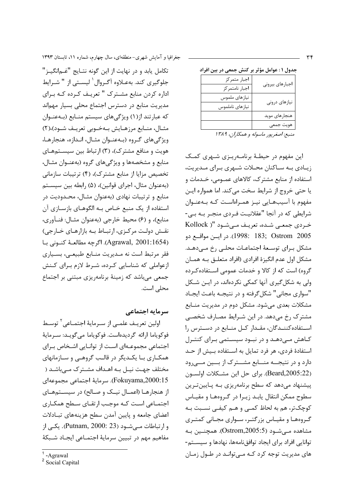|                 | جدول ۱ : عوامل مؤثر بر کنش جمعی در بین افراد |
|-----------------|----------------------------------------------|
| اجبارهاي بيروني | اجبار متمركز                                 |
|                 | اجبار نامتمركز                               |
|                 | نيازهاي ملموس                                |
| نیازهای درونی   | نيازهاي ناملموس                              |

منبع: اصغر یور ماسوله و همکاران، ۱۳۸۹

هنجارهاي مويد

این مفهوم در حیطـهٔ برنامـه٫یـزی شـهری کمـک زیبادی بـه سـاکنان محـلات شـهری بـرای مـدیریت، استفاده از منابع مشترک، کالاهای عمـومی، خـدمات و يا حتى خروج از شرايط سخت مى كند. اما همواره ايـن مفهوم با آسیبهایی نیـز همـراهاسـت کـه بـهعنـوان شرایطی که در آنجا "عقلانیـت فـردی منجـر بـه بـی-خردی جمعے شدہ، تعریف مے شـود "( Kollock 1998: 183; Ostrom 2005). در ايسن مواقع دو مشكل براي توسعة اجتماعـات محلـى رخ مـى‹هـد. مشکل اول عدم انگیزهٔ افرادی (افراد متعلـق بـه همـان گروه) است که از کالا و خدمات عمومی استفاده کرده ولی به شکل گیری آنها کمکی نکردهاند، در ایـن شـکل "سواري مجاني" شكل گرفته و در نتيجـه باعـث ايجـاد مشکلات بعدی می شود. مشکل دوم در مدیریت منـابع مشترک رخ میدهد. در این شـرایط مصـارف شخصـی استفاده كننـدگان، مقـدار كـل منـابع در دسـترس را کاهش مے،دهـد و در نبـود سیسـتمی بـرای کنتـرل استفادهٔ فردی، هر فرد تمایل به اسـتفاده بـیش از حـد دارد و در نتیجــه منــابع مشــترک از بــین مــیرود (Beard,2005:22). براي حل اين مشكلات اولسون پیشنهاد میدهد که سطح برنامهریزی بـه پـایینترین سطوح ممكن انتقال يابـد زيـرا در گـروههـا و مقيـاس كوچكتر، هم به لحاظ كمـى و هـم كيفـى نسـبت بـه گروهها و مقیاس بزرگتیر، سیواری مجیانی کمتیری مشاهده مے شـود (Ostrom,2005:5). همچنـین بـه توانایی افراد برای ایجاد توافق نامهها، نهادها و سیستم-های مدیریت توجه کرد کـه مـی توانـد در طـول زمـان

جغرافیا و آمایش شهری-منطقهای، سال چهارم، شماره ۱۱، تابستان ۱۳۹۳

تکامل يابد و در نهايت از اين گونه نتــايج "غــمانگيــز" جلوگیری کند. بهعـلاوه آگـروال` لیسـتی از " شـرایط اداره كردن منابع مشترك " تعريـف كـرده كـه بـراي مدیریت منابع در دسترس اجتماع محلی بسیار مهماند که عبارتند از(۱) ویژگیهای سیستم منـابع (بـهعنـوان مثـال، منـابع مرزهـايش بـهخـوبي تعريـف شـود)،(٢) ویژگی های گروه (بهعنـوان مثـال، انـدازه، هنجارهـا، هویت و منافع مشترک)، (۳) ارتباط بین سیستمهای منابع و مشخصهها و ویژگیهای گروه (بهعنـوان مثـال، تخصیص مزایا از منابع مشترک)، (۴) ترتیبات سازمانی (بهعنوان مثال، اجرای قوانین)، (۵) رابطه بین سیسـتم منابع و ترتیبات نهادی (بهعنوان مثـال، محـدودیت در استفاده از یک منبع خـاص بـه الگوهـای بازسـازی آن منابع)، و (۶) محيط خارجي (بهعنوان مثـال: فنـأورى، نقش دولت مرکزی، ارتباط بـه بازارهـای خـارجی) (Agrawal, 2001:1654). اگرچه مطالعـهٔ کنـونی بـا فقر مرتبط است نه مـديريت منـابع طبيعـى، بسـيارى ازعواملی که شناسایی کرده، شـرط لازم بـرای کـنش جمعی میباشد که زمینهٔ برنامهریزی مبتنی بر اجتماع محلي است.

#### سرمایه اجتماعی

اولين تعريـف علمـي از سـرمايهٔ اجتمــاعي<sup>۲</sup> توسـط فوكوياما ارائه كرديدهاست. فوكوياما مي گويـد: سـرماية اجتماعی مجموعـهای اسـت از توانـایی اشـخاص بـرای همکــاری بــا یکــدیگر در قالــب گروهــی و ســازمانهای مختلف جهت نیـل بـه اهـداف مشـترک مـی،باشـد ( Fokuyama,2000:15). سرماية اجتماعي مجموعهاي از هنجارهـا (اعمـال نيـک و صـالح) در سيسـتمهـاى اجتمـاعي اسـت كـه موجـب ارتقـاي سـطح همكـاري اعضای جامعه و پایین آمدن سطح هزینههای تبـادلات و ارتباطات مے شود (Putnam, 2000: 23). یکے از مفاهيم مهم در تبيين سرماية اجتمـاعي ايجـاد شـبكة

<sup>-</sup>Agrawal

<sup>&</sup>lt;sup>2</sup> Social Capital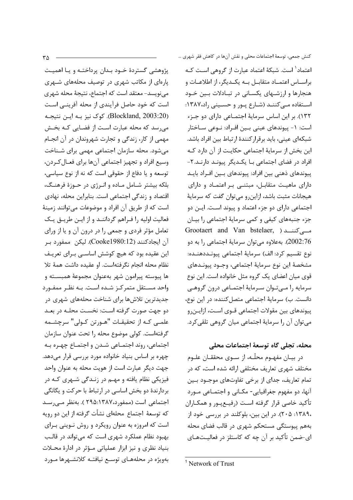يژوهشي گستردۀ خـود بـدان پرداختـه و يـا اهميـت پارهای از مکاتب شهری در توصیف محلههای شـهری مینویسد- معتقد است که اجتماع، نتیجهٔ محله شهری است که خود حاصل فرآیندی از محله آفرینـی اسـت (Blockland, 2003:20). كوك نيز بـه ايـن نتيجـه میرسد که محله عبارت است از فضایی کـه بخـش مهمی از کار، زندگی و تجارت شهروندان در آن انجـام می شود. محله سازمان اجتماعی مهمی برای شـناخت وسيع افراد و تجهيز اجتماعي آنها براي فعـال كـردن، توسعه و یا دفاع از حقوقی است که نه از نوع سیاسی، بلکه بیشتر شـامل مـاده و انـرژی در حـوزهٔ فرهنـگ، اقتصاد و زندگی اجتماعی است. بنابراین محله، نهادی است که از طریق آن افراد و موضوعات میتوانند زمینهٔ فعالیت اولیه را فـراهم گرداننـد و از ایـن طریـق یـک تعامل مؤثر فردی و جمعی را در درون آن و یا از ورای آن ایجادکنند (Cooke1980:12). لیکن ممفورد ب این عقیده بود که هیچ کوشش اساسی برای تعریف نظام محله انجام نگرفتهاست. او عقیده داشت همهٔ تلا ها پیوسته پیرامون شهر بهعنوان مجموعهٔ همبســته و واحد مستقل متمركز شده است. بـه نظـر ممفـورد جدیدترین تلاشها برای شناخت محلههای شهری در دو جهت صورت گرفته است: نخسـت محلـه در بعـد علمـی کـه از تحقیقـات "هـورتن کـولی" سرچشـمه گرفتهاست. کولی موضوع محله را تحت عنوان سازمان اجتماعي، روند اجتمـاعي شـدن و اجتمـاع چهـره بـه چهره بر اساس بنیاد خانواده مورد بررسی قرار میدهد. جهت ديگر عبارت است از هويت محله به عنوان واحد فیزیکی نظام یافته و مهـم در زنـدگی شـهری کـه در بردارندهٔ دو بخش اساسی در ارتباط با حرکت و یگانگی اجتماعی است (ممفورد،۱۳۸۷:۱۳۵۵). بهنظر مـیرسـد كه توسعهٔ اجتماع محلهای نشأت گرفته از این دو رویه است که امروزه به عنوان رویکرد و روش نـوینی بـرای بهبود نظام عملکرد شهری است که میتواند در قالب بنیاد نظری و نیز ابزار عملیاتی مؤثر در ادارهٔ محلات بهویژه در محلههـای توسـع نیافتـه کلانشـهرها مـورد كنش جمعي، توسعهٔ اجتماعات محلي و نقش آنها در كاهش فقر شهري … اعتماد<sup>۱</sup> است. شبکهٔ اعتماد عبارت از گروهی اسـت کـه براسـاس اعتمـاد متقابـل بـه يكـديگر، از اطلاعـات و هنجارها و ارزشـهای یکسـانی در تبـادلات بـین خـود استفاده میکنند (شارع پور و حسینی راد،۱۳۸۷: ١٣٢). بر اين اساس سرماية اجتمـاعي داراي دو جـزء است: ۱- پیوندهای عینی بـین افـراد: نـوعی سـاختار شبکهای عینی، باید برقرار کنندهٔ ارتباط بین افراد باشد. این بخش از سرمایهٔ اجتماعی حکایـت از آن دارد کـه افراد در فضای اجتماعی بـا یکـدیگر پیونـد دارنـد.۲-پیوندهای ذهنی بین افراد: پیوندهای بـین افـراد بایـد دارای ماهیت متقابل، مبتنے بر اعتمـاد و دارای هیجانات مثبت باشد، ازاین و می توان گفت که سرمایهٔ اجتماعی دارای دو جزء اعتماد و پیوند است. ایـن دو جزء جنبههای کیفی و کمی سرمایهٔ اجتماعی را بیـان Grootaert and Van bstelaer, ) مسے کننــد 2002:76). بەعلاوە مى توان سرمايۀ اجتماعى را بە دو نوع تقسيم كرد: الف) سرماية اجتماعي پيونـددهنـده: مشخصهٔ این نوع سرمایهٔ اجتماعی، وجــود پیونــدهای قوی میان اعضای یک گروه مثل خانواده است. این نوع سرمايه را مىتوان سرماية اجتماعى درون گروهى دانست. ب) سرمايهٔ اجتماعي متصل كننده: در اين نوع، پیوندهای بین مقولات اجتماعی قــوی اسـت، ازایــن٫و مي توان آن را سرمايۀ اجتماعي ميان گروهي تلقي كرد.

### محله، تجلي گاه توسعهٔ اجتماعات محلي

در بيـان مفهـوم محلّـه، از سـوى محققـان علـوم مختلف شهری تعاریف مختلفی ارائه شده است، که در تمام تعاریف، جدای از برخی تفاوتهای موجــود بــین آنها، دو مفهوم جغرافیایی- مکـانی و اجتمـاعی مـورد تأكيد خاصى قرار گرفته است (رفيـع يــور و همكــاران ،١٣٨٩: ٢٠۵). در اين بين، بلوكلند در بررسي خود از بههم پیوستگی مستحکم شهری در قالب فضای محله ای-ضمن تأکید بر آن چه که کاستلز در فعالیـتهـای

<sup>&</sup>lt;sup>1</sup> Network of Trust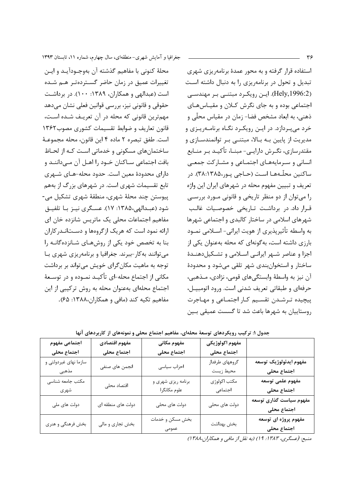استفاده قرار گرفته و به محور عمدهٔ برنامهریزی شهری تبدیل و تحول در برنامهریزی را به دنبال داشته است (Hely, 1996:2). ایـن رویکـرد مبتنـی بـر مهندسـی اجتماعی بوده و به جای نگرش کلان و مقیاس های ذهني، به ابعاد مشخص فضا- زمان در مقياس محلّى و خرد می پردازد. در ایـن رویکـرد نگـاه برنامـهریـزی و مدیریت از پایین بـه بـالا، مبتنـی بـر توانمندسـازی و مقتدرسازی، نگـرش دارایـی- مبنــا، تأکیــد بـر منــابع انسانی و سـرمایههـای اجتمـاعی و مشـارکت جمعـی ساکنین محلّـههـا اسـت (حـاجے یـو,،۳۸:۱۳۸۵). در تعریف و تبیین مفهوم محله در شهرهای ایران این واژه را میتوان از دو منظر تاریخی و قانونی مورد بررسی قرار داد. در برداشت تاریخی خصوصیات غالب شهرهای اسلامی در ساختار کالبدی و اجتماعی شهرها به واسطه تأثیرپذیری از هویت ایرانی- اســلامی نمــود بارزی داشته است، بهگونهای که محله بهعنوان یکی از اجزا و عناصر شـهر ايرانـى اسـلامى و تشـكيل‹هنـدۀ ساختار و استخوان بندی شهر تلقی می شود و محدودهٔ آن نیز به واسطهٔ وابستگیهای قومی، نژادی، مـذهبی، حرفهای و طبقاتی تعریف شدنی است. ورود اتومبیـل، ييچيده ترشـدن تقسـيم كـار اجتمـاعى و مهـاجرت روستاييان به شهرها باعث شد تا گسست عميقى بـين

جغرافیا و آمایش شهری-منطقهای، سال چهارم، شماره ۱۱، تابستان ۱۳۹۳

محلهٔ کنونی با مفاهیم گذشته آن بهوجـودآیـد و ایـن تغییرات عمیق در زمان حاضر گستردهتر هـم شـده است (عبدالهی و همکاران، ۱۳۸۹: ۱۰۰). در برداشت حقوقی و قانونی نیز، بررسی قوانین فعلی نشان میدهد مهمترین قانونی که محله در آن تعریـف شـده اسـت، قانون تعاريف و ضوابط تقسيمات كشورى مصوب١٣۶٢ است. طفق تبصره ٢ ماده ۴ این قانون، محله مجموعـهٔ ساختمانهای مسکونی و خدماتی است کـه از لحـاظ بافت اجتماعي سـاكنان خـود را اهـل آن مـي‹اننـد و دارای محدودهٔ معین است. حدود محله-هـای شـهری تابع تقسیمات شهری است. در شهرهای بزرگ از بههم پيوستن چند محلهٔ شهري، منطقهٔ شهري تشکيل مي-شود (عبـدالهي،١٣٨۵: ١٧). عسـگري نيـز بـا تلفيـق مفاهیم اجتماعات محلی یک ماتریس شانزده خان ای ارائه نمود است که هریک ازگروهها و دستاندر کاران بنا به تخصص خود یکی از روشهای شانزدهگانه را می توانند به کار-ببرند. جغرافیا و برنامهریزی شهری با توجه به ماهيت مکان گراي خويش مي تواند بر برداشت مکانی از اجتماع محله-ای تأکیـد نمـوده و در توسـعهٔ اجتماع محلهای بهعنوان محله به روش ترکیبی از این مفاهيم تكيه كند (مافي و همكاران،١٣٨٨: ۶۵).

مفهوم اقتصادي اجتماعي مفهوم مفهوم مكاني مفهوم اكولوژيكي اجتماع محلى اجتماع محلى اجتماع محلى اجتماع محلى مفهوم ايدئولوژيک توسعه سازما نهای غیردولتی و گروههای طرفدار انجمن های صنفی احزاب سياسى مذهبى محيط زيست اجتماع محلى مفهوم علمى توسعه مكتب جامعه شناسى مكتب اكولوژى برنامه ریزی شهری و اقتصاد محلى شهري علوم مكانگرا اجتماعي اجتماع محلى .<br>مفهوم سیاست گذاری توسعه دولت های ملی دولت های منطقه ای دولت های محلی دولت های محلی اجتماع محلى مفهوم پروژه ای توسعه بخش مسكن و خدمات بخش فرهنگی و هنری بخش تجاري و مالي بخش بهداشت اجتماع محلى

جدول ۱: ترکیب رویکردهای توسعهٔ محلهای، مفاهیم اجتماع محلی و نمونههای از کاربردهای آنها

منبع: (عسگری، ۱۳۸۳؛ ۱۹) (به نقل از مافی و همکاران،۱۳۸۸)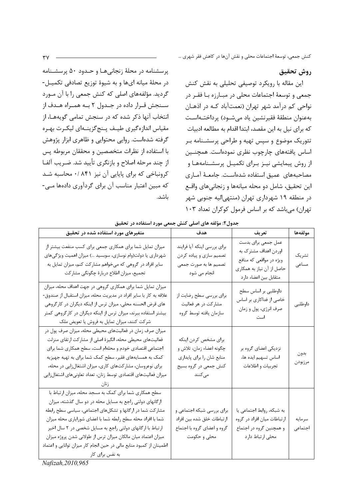## روش تحقيق

این مقاله با رویکرد توصیفی تحلیلی به نقش کنش جمعی و توسعهٔ اجتماعات محلی در مبـارزه بـا فقـر در نواحی کم درآمد شهر تهران (نعمتآباد کـه در اذهـان بهعنوان منطقة فقيرنشين ياد مىشـود) پرداختـهاسـت که برای نیل به این مقصد، ابتدا اقدام به مطالعه ادبیات تئوریک موضوع و سپس تهیه و طراحی پرسشـنامه بـر اساس یافتههای چارچوب نظری نمودهاست. همچنـین از روش پیمایشی نیـز بـرای تکمیـل پرسشـنامههـا و مصاحبههای عمیق استفاده شدهاست. جامعـهٔ آمـاری این تحقیق، شامل دو محله میانهها و زنجانی های واقـع در منطقه ۱۹ شهرداری تهران (منتهی|لیه جنوبی شهر تهران) میباشد که بر اساس فرمول کوکران تعداد ۱۰۳

پرسشنامه در محلهٔ زنجانیها و حـدود ۵۰ پرسشـنامه در محلهٔ میانه ایها و به شیوهٔ توزیع تصادفی تکمیـل-گردید. مؤلفههای اصلی که کنش جمعی را با آن مـورد سـنجش قـرار داده در جـدول ٢ بـه همـراه هـدف از انتخاب آنها ذکر شده که در سنجش تمامی گویههـا، از مقیاس اندازهگیری طیـف پـنجگزینـهای لیکـرت بهـره گرفته شدهاست. روایی محتوایی و ظاهری ابزار پژوهش با استفاده از نظرات متخصصین و محققان مربوطه پس از چند مرحله اصلاح و بازنگری تأیید شد. ضـریب آلفـا کرونباخی که برای پایایی آن نیز ۸۴۱ /۰ محاسبه شد که مبین اعتبار مناسب آن برای گردآوری دادهها مے -باشد.

|                                                                                                                                                                                                                                                                                                                                                                                                                                                                                 | جدول۲: مؤلفه های اصلی کنش جمعی مورد استفاده در تحقیق                                                              |                                                                                                                             |                   |
|---------------------------------------------------------------------------------------------------------------------------------------------------------------------------------------------------------------------------------------------------------------------------------------------------------------------------------------------------------------------------------------------------------------------------------------------------------------------------------|-------------------------------------------------------------------------------------------------------------------|-----------------------------------------------------------------------------------------------------------------------------|-------------------|
| متغیرهای مورد استفاده شده در تحقیق                                                                                                                                                                                                                                                                                                                                                                                                                                              | هدف                                                                                                               | تعريف                                                                                                                       | مولفهها           |
| میزان تمایل شما برای همکاری جمعی برای کسب منفعت بیشتر از<br>شهرداری یا دولت(وام نوسازی، سوبسید …) میزان اهمیت ویژگیهای<br>سایر افراد در گروهی که میخواهم مشارکت کنم، میزان تمایل به<br>تجميع، ميزان اطلاع دربارهٔ چگونگي مشاركت                                                                                                                                                                                                                                                 | براي بررسي اينكه أيا فرايند<br>تصمیم سازی و پیاده کردن<br>تصميم ها به صورت جمعي<br>انجام می شود                   | عمل جمعی برای بدست<br>اوردن اهداف مشترک به<br>ویژه در مواقعی که منافع<br>حاصل از آن نیاز به همکاری<br>متقابل بين اعضاء دارد | تشريک<br>مساعى    |
| میزان تمایل شما برای همکاری گروهی در جهت اهداف محله، میزان<br>علاقه به کار با سایر افراد در مدیریت محله، میزان استقبال از صندوق-<br>های قرض الحسنه محلی، میزان ترس از اینکه دیگران در کارگروهی<br>بیشتر استفاده ببرند، میزان ترس از اینکه دیگران در کارگروهی کمتر<br>شرکت کنند، میزان تمایل به فروش یا تعویض ملک                                                                                                                                                                | برای بررسی سطح رضایت از<br>مشارکت در هر فعالیت<br>سازمان يافته توسط گروه                                          | داوطلبی بر اساس سطح<br>خاصی از فداکاری بر اساس<br>صرف انرژي، پول و زمان<br>است                                              | داوطلبى           |
| میزان صرف زمان در فعالیتهای محیطی محله، میزان صرف پول در<br>فعالیتهای محیطی محله، انگیزهٔ اصلی از مشارکت ارتقای منزلت<br>اجتماعی اقتصادی خودم و محلهام است، سطح همکاری شما برای<br>کمک به همسایههای فقیر، سطح کمک شما برای به تهیه جهیزیه<br>برای نوعروسان، مشارکتهای کاری، میزان اشتغالزایی در محله،<br>میزان فعالیتهای اقتصادی توسط زنان، تعداد تعاونیهای اشتغالزایی                                                                                                          | براي مشخص كردن اينكه<br>چگونه اعضاء زمان، تلاش و<br>منابع شان را برای پایداری<br>کنش جمعی در گروه بسیج<br>مى كنند | نزدیکی اعضای گروه بر<br>اساس تسهيم ايده ها،<br>تجربيات و اطلاعات                                                            | بدون<br>مرزبودن   |
| سطح همکاری شما برای کمک به مسجد محله، میزان ارتباط با<br>ارگانهای دولتی راجع به مسایل محله در دو سال گذشته، میزان<br>مشارکت شما در ارگانها و تشکلهای اجتماعی، سیاسی سطح رابطه<br>شما با افراد محله سطح رابطه شما با اعضاي شوراياري محله ميزان<br>ارتباط با ارگانهای دولتی راجع به مسایل شخصی در ٢ سال اخیر<br>میزان اعتماد میان مالکان میزان ترس از طولانی شدن پروژه میزان<br>اطمینان از کمبود منابع مالی در حین انجام کار میزان توانایی و اعتماد<br>به نفس برای کار<br>$20100$ | برای بررسی شبکه اجتماعی و<br>ارتباطات خلق شده بين افراد<br>گروه و اعضای گروه با اجتماع<br>محلی و حکومت            | به شبکه، روابط اجتماعی یا<br>ارتباطات میان افراد در گروه<br>و همچنین گروه در اجتماع<br>محلي ارتباط دارد                     | سرمايه<br>اجتماعى |

Nafizah, 2010, 965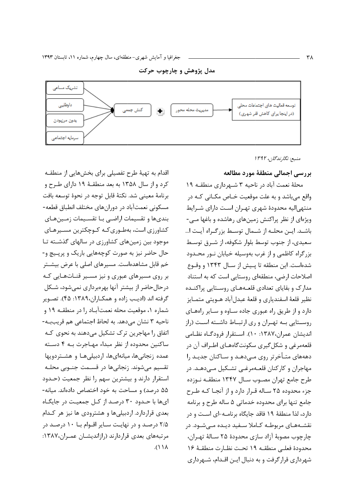سرمايه اجتماعى





اقدام به تهیهٔ طرح تفصیلی برای بخشهایی از منطقـه کرد و از سال ۱۳۵۸ به بعد منطقـهٔ ۱۹ دارای طـرح و برنامهٔ معینی شد. نکتهٔ قابل توجه در نحوهٔ توسعه بافت مسکونی نعمتآباد در دورانهای مختلف انطباق قطعه-بندیها و تقسیمات اراضـی بـا تقسـیمات زمـینهـای کشاورزی است، بهطـوریکـه کـوچکترین مسـیرهـای موجود بین زمینهای کشاورزی در سالهای گذشته تا حال حاضر نیز به صورت کوچههایی باریک و پرپیچ و-خم قابل مشاهدهاست. مسیرهای اصلی با عرض بیشــتر بر روی مسیرهای عبوری و نیز مسـیر قنـاتهـایی کـه درحالحاضر از بیشتر آنها بهرهبرداری نمیشود، شـكل گرفته اند (اديب زاده و همكـاران،١٣٨٩: ۴۵). تصـوير شماره ۱، موقعیت محله نعمتآبـاد را در منطقـه ۱۹ و ناحيه ٣ نشان مي دهد. به لحاظ اجتماعي هم قريببـه-اتفاق را مهاجرین ترک تشکیل میدهند به نحوی کـه ساكنين محدوده از نظر مبداء مهـاجرت بـه ۴ دسـته عمده زنجانیها، میانهایها، اردبیلیها و هشـتردویها تقسیم می شوند. زنجانی ها در قسـمت جنـوبی محلـه استقرار دارند و بیشترین سهم را نظر جمعیت (حدود ۵۵ درصد) و مساحت به خود اختصاص دادهاند. میانه-ایها با حدود ۳۰ درصد از کل جمعیت در جایگاه بعدی قراردارد. اردبیلی ها و هشترودی ها نیز هر کدام ۲/۵ درصـد و در نهایـت سـایر اقـوام بـا ۱۰ درصـد در مرتبههای بعدی قراردارند (رازاندیشان عمـران،۱۳۸۷:  $\Lambda$ / $\Lambda$ 

# بررسي اجمالي منطقة مورد مطالعه

منىبع: نگارندگان، ۱۳۹۲

محلهٔ نعمت آباد در ناحیه ۳ شـهرداری منطقـه ۱۹ واقع می باشد و به علت موقعیت خـاص مکـانی کـه در منتهی|لیه محدودهٔ شهری تهـران اسـت دارای شـرایط ویژهای از نظر پراکنش زمینهای رهاشده و باغها مـی-باشـد. ايـن محلـه از شـمال توسـط بزرگـراه آيـت ا... سعیدی، از جنوب توسط بلوار شکوفه، از شـرق توسـط بزرگراه كاظمى و از غرب بهوسيله خيابان نـور محـدود شدهاست. این منطقه تا پـیش از سـال ۱۳۴۳ و وقـوع اصلاحات ارضی، منطقهای روستایی است که به استناد مدارک و بقایای تعدادی قلعـههـای روسـتایی پراکنـده نظير قلعهٔ اسفندياري و قلعهٔ عبدل آباد هـويتي متمـايز دارد و از طریق راه عبوری جاده سـاوه و سـایر راههـای روستایی به تهـران و ری ارتبـاط داشـته اسـت (راز انديشان عمران،١٣٨٧: ١٠). استقرار فرودگـاه نظـامي قلعهمرغي و شکل گيري سکونت گاههـاي اطـراف آن در دهههای متأخرتر روی مهیدهد و ساکنان جدید را مهاجران و کارکنان قلعـهمرغـی تشـکیل مـیٖدهـد. در طرح جامع تهران مصـوب سـال ۱۳۴۷ منطقـه نـوزده جزء محدوده ۲۵ سـاله قـرار دارد و از آنجـا كـه طـرح جامع تنها برای محدوده خدماتی ۵ ساله طرح و برنامه دارد، لذا منطقهٔ ۱۹ فاقد جایگاه برنامـه-ای اسـت و در نقشـههـای مربوطـه کـاملا سـفید دیـده مـے شـود. در چارچوب مصوبهٔ آزاد سازی محدودهٔ ۲۵ سـالهٔ تهـران، محدودة فعلـى منطقـه ١٩ تحـت نظـارت منطقـهٔ ١۶ شهرداری قرارگرفت و به دنبال ایـن اقـدام، شـهرداری

٣٨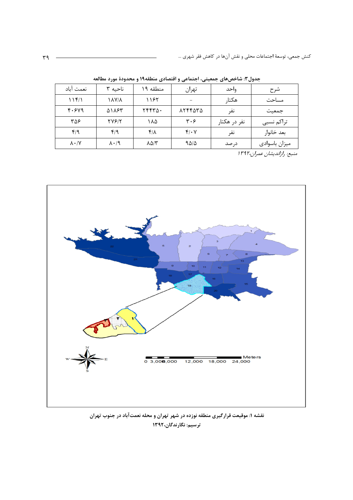| نعمت آباد           | ناحيه ۳           | منطقه ۱۹    | تهران      | واحد         | شرح           |
|---------------------|-------------------|-------------|------------|--------------|---------------|
| 11f/1               | <b>1 / 1 / 1</b>  | ۱۱۶۲        |            | هكتار        | مساحت         |
| 4.549               | <b>AIAST</b>      | ٢۴۴٣٥٠      | ۸۲۴۴۵۳۵    | نفر          | جمعيت         |
| ۳۵۶                 | <b>TVS/T</b>      | ۱۸۵         | ۳۰۶        | نفر در هکتار | تراكم نسبى    |
| f/9                 | f/9               | $f/\lambda$ | $f(\cdot)$ | نفر          | بعد خانوار    |
| $\lambda \cdot / Y$ | $\lambda \cdot 9$ | ۸۵/۳        | ۹۵/۵       | در صد        | ميزان باسوادى |

جدول۳: شاخصهای جمعیتی، اجتماعی و اقتصادی منطقه۱۹ و محدودهٔ مورد مطالعه

منبع: رازاندیشان عمران،۱۳۹۲



نقشه ۱: موقیعت قرارگیری منطقه نوزده در شهر تهران و محله نعمتآباد در جنوب تهران ترسیم: نگارندگان،۱۳۹۲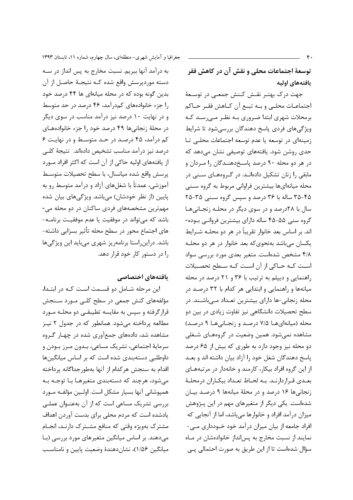توسعهٔ اجتماعات محلی و نقش آن در کاهش فقر يافتههاى اوليه

جهت درک بهتـر نقـش کـنش جمعـی در توسـعهٔ اجتماعـات محلـى و بـه تبـع آن كـاهش فقـر حـاكم برمحلات شهری ابتدا ضروری بـه نظـر مـیرسـد کـه ویژگیهای فردی پاسخ دهندگان بررسی شود تا شرایط زمینهای در توسعه یا عدم توسعه اجتماعات محلبی تا حدی روشن شود. یافتههای توصیفی نشان میدهد که در هر دو محله ۹۰ درصد پاسـخ۱هنـدگان را مـردان و مابقی را زنان تشکیل دادهانـد. در گـروههـای سـنی در محله میانهایها بیشترین فراوانی مربوط به گروه سـنی ۴۵-۳۵ ساله با ۳۶ درصد و سپس گروه سـنی ۳۵-۲۵ سال با ۲۸درصد و در سوی دیگر در محلـه زنجـانیهـا گروه سنی ۵۵-۴۵ ساله دارای بیشترین فروانبی بوده-اند. بر اساس بعد خانوار تقریباً در هر دو محلـه شــرایط یکسان میباشد بهنحوی که بعد خانوار در هر دو محلـه ۴/۸ مشخص شدهاست. متغیر بعدی مورد بررسی سواد است کـه حـاکی از آن اسـت کـه سـطح تحصـيلات راهنمایی و دیپلم به ترتیب با ۳۶ و ۲۱ درصد در محله میانهها و راهنمایی و ابتدایی هر کدام با ۳۲ درصـد در محله زنجانی-ها دارای بیشترین تعـداد مـی.باشـند. در سطح تحصیلات دانشگاهی نیز تفاوت زیادی در بین دو محله (میانهایها ۷/۵ درصد و زنجانیها ۹ درصد) مشاهده نمی شود. همین وضعیت در گروههـای شـغلی دو محله نیز وجود دارد به طوری که بیش از ۶۵ درصد یاسخ دهندگان شغل خود را آزاد بیان داشته اند و بعـد از این گروه افراد بیکار، کارمند و خانهدار در مرتبههـای بعـدي قـراردارنـد. بـه لحـاظ تعـداد بيكـاران درمحلـهٔ زنجانی ها ۱۶ درصد و در محلهٔ میانهها ۹ درصـد بیـان شدهاست. یکی دیگر از متغیرهای مهم در این پـژوهش میزان درآمد افراد و خانوارها میباشد، اما از آنجایی که افراد جامعه از بیان میزان درآمد خود خـودداری مـی-نمایند از نسبت مخارج به پس انداز خانوادهشان در ماه سؤال شدهاست تا از این طریق به صورت احتمالی پی

جغرافیا و آمایش شهری-منطقهای، سال چهارم، شماره ۱۱، تابستان ۱۳۹۳

به درآمد آنها ببريم. نسبت مخارج به پس انداز در سـه دسته موردپرسش واقع شده كـه نتيجـهٔ حاصـل از آن بدین گونه بوده که در محله میانهای ها ۴۴ درصد خود را جزء خانوادههای کمدرآمد، ۴۶ درصد در حد متوسط و در نهایت ۱۰ درصد نیز درآمد مناسب در سوی دیگر در محلهٔ زنجانیها ۴۹ درصد خود را جزء خانوادههای کم درآمد، ۴۵ درصد در حد متوسط و در نهایت ۶ درصد نیز درآمد مناسب تشخیص دادهاند. نتیجهٔ کلبی از یافتههای اولیه حاکی از آن است که اکثر افراد مـورد پرسش واقع شده ميانسال، با سطح تحصيلات متوسـط آموزشی، عمدتاً با شغلهای آزاد و درآمد متوسط رو به پایین (از نظر خودشان) میباشد. ویژگیهای بیان شده مهمترین مشخصههای فردی ساکنان در دو محله می-باشد که میتواند در موفقیت یا عدم موفقیت برنامـه-های اجتماع محور در سطح محله تأثیر بسزایی داشته-باشد. دراین راستا برنامهریز شهری میباید این ویژگیها را در دستور کار خود قرار دهد.

#### یافتههای اختصاصی

این مرحله شامل دو قسـمت اسـت كـه در ابتـدا، مؤلفههای کنش جمعی در سطح کلـی مـورد سـنجش قرارگرفته و سپس به مقایسه تطیبقـی دو محلـه مـورد مطالعه پرداخته می شود. همانطور که در جدول ۲ نیـز مشاهده شد، دادههای جمعآوری شده در چهـار گـروه سرمايهٔ اجتماعي، تشريک مساعي، بـدون مـرز بـودن و داوطلبی دستهبندی شده است که بر اساس میانگینها اقدام به سنجش هركدام از آنها بهطورجداگانه پرداخته مي شود، هرچند كه دستهبندي متغيرهـا بـا توجـه بـه همپوشانی آنها بسیار مشکل است. اولـین مؤلفـه مـورد بررسی تشریک مساعی است که از آن بهعنـوان عملـی یادشده است که مردم محلی برای بدست آوردن اهداف مشترک بهویژه وقتی که منافع مشـترک دارنـد، انجـام می دهند. بر اساس میانگین متغیرهای مورد بررسی (با میانگین ۱/۵۶)، نشاندهندهٔ وضعیت پایین و نامناسب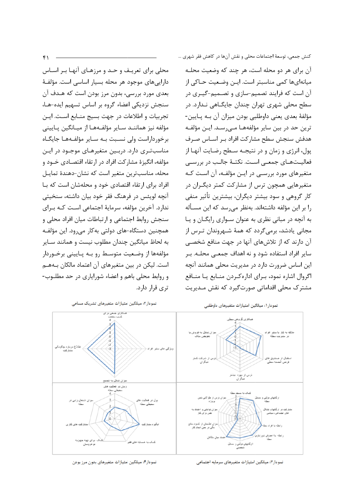آن برای هر دو محله است، هر چند که وضعیت محلـه میانهایها کمی مناسبتر است. ایــن وضـعیت حــاکی از آن است که فرایند تصمیم-سازی و تصـمیم-گیـری در سطح محلی شهری تهران چندان جایگـاهی نـدارد. در مؤلفهٔ بعدی یعنی داوطلبی بودن میزان آن بـه پـایین-ترین حد در بین سایر مؤلفههـا مـیرسـد. ایـن مؤلفـه هدفش سنجش سطح مشاركت افراد بـر اسـاس صـرف پول، انرژی و زمان و در نتیجـه سـطح رضـایت آنهـا از فعالیـتهـای جمعـی اسـت. نکتـهٔ جالـب در بررسـی متغیرهای مورد بررسے در ایـن مؤلفـه، آن اسـت کـه متغیرهایی همچون ترس از مشارکت کمتر دیگـران در کار گروهی و سود بیشتر دیگران، بیشترین تأثیر منفی را بر این مؤلفه داشتهاند. بهنظر می سد که این مسـأله به آنچه در مبانی نظری به عنوان سواری رایگــان و پــا مجانی پادشد، برمی گردد که همهٔ شـهروندان تـرس از آن دارند که از تلاشهای آنها در جهت منافع شخصی سایر افراد استفاده شود و نه اهداف جمعـی محلـه. بـر این اساس ضرورت دارد در مدیریت محلی همانند آنچه اگروال اشاره نمود، بـرای ادارهکـردن منـابع یـا منـافع مشترک محلی اقداماتی صورتگیرد که نقش مـدیریت





نمودار٣: میانگین امتیازات متغیرهای سرمایه اجتماعی

نمودار۴: میانگین امتیازات متغیرهای بدون مرز بودن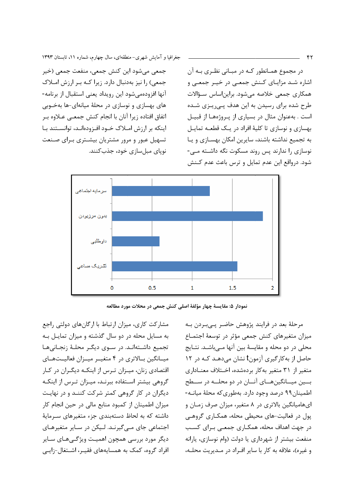جغرافیا و آمایش شهری-منطقهای، سال چهارم، شماره ۱۱، تابستان ۱۳۹۳

جمعي مي شود اين كنش جمعي، منفعت جمعي (خير جمعی) را نیز بهدنبال دارد. زیرا کـه بـر ارزش امـلاک آنها افزودهمی شود این رویداد یعنی استقبال از برنامه-های بهسازی و نوسازی در محلهٔ میانهای-ها بهخـوبی اتفاق افتاده زیرا آنان با انجام کنش جمعے عـلاوه بـر اینکه بر ارزش امـلاک خـود افـزودهانـد، توانسـتند بـا تسهیل عبور و مرور مشتریان بیشـتری بـرای صـنعت نوياي مبل سازي خود، جذب كنند.

در مجموع همانطور که در مبانی نظری به آن اشاره شد مزایای کنش جمعی در خیـر جمعی و همکاری جمعی خلاصه میشود. برایناساس سـؤالات طرح شده برای رسیدن به این هدف پـی٫یـزی شـده است . بهعنوان مثال در بسیاری از پیروژهها از قبیل بهسازی و نوسازی تا کلیهٔ افراد در یـک قطعـه تمایـل به تجمیع نداشته باشند، سایرین امکان بهسـازی و یـا نوسازی را ندارند پس روند مسکوت نگه داشته مے۔ شود. درواقع این عدم تمایل و ترس باعث عدم کـنش





مشارکت کاری، میزان ارتباط با ارگانهای دولتی راجع به مسایل محله در دو سال گذشته و میزان تمایل به تجمیع داشـتهانـد. در سـوی دیگـر محلـهٔ زنجـانی هـا میـانگین بـالاتری در ۴ متغیـر میـزان فعالیـتهـای اقتصادی زنان، میـزان تـرس از اینکـه دیگـران در کـار گروهی بیشتر استفاده ببرنـد، میـزان تـرس از اینکـه دیگران در کار گروهی کمتر شرکت کننـد و در نهایـت میزان اطمینان از کمبود منابع مالی در حین انجام کار داشته که به لحاظ دستهبندی جزء متغیرهای سـرمایهٔ اجتماعی جای مے گیرنـد. لـیکن در سـایر متغیرهـای دیگر مورد بررسی همچون اهمیـت ویژگـے هـای سـایر افراد گروه، کمک به همسایههای فقیـر، اشـتغال-زایـی

مرحلهٔ بعد در فرایند پژوهش حاضر پیبردن بـه میزان متغیرهای کنش جمعی مؤثر در توسعهٔ اجتمـاع محلی در دو محله و مقایسهٔ بین آنها مے باشـد. نتـایج حاصل از به کار گیری آزمونt نشان می دهـد کـه در ۱۲ متغیر از ۳۱ متغیر بهکار بردهشده، اختلاف معناداری بسین میسانگین هسای آنسان در دو محلسه در سسطح اطمینان۹۹ درصد وجود دارد. بهطوری که محلهٔ میانـه-ایهامیانگین بالاتری در ۸ متغیر، میزان صرف زمـان و یول در فعالیت-های محیطی محله، همکـاری گروهـی در جهت اهداف محله، همکـاری جمعـی بـرای کسـب منفعت بیشتر از شهرداری یا دولت (وام نوسازی، پارانه و غيره)، علاقه به كار با ساير افراد در مـديريت محلـه،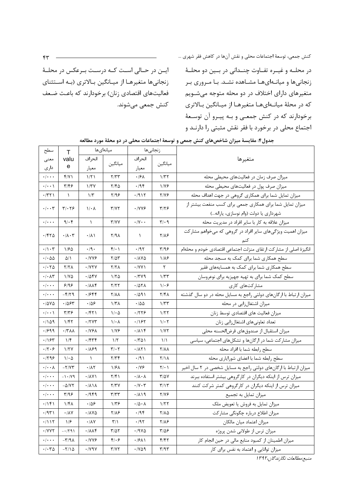ايــن در حــالى اســت كــه درســت بــرعكس در محلــهٔ زنجانیها متغیرها از میانگین بالاتری (به استثنای فعالیتهای اقتصادی زنان) برخودارند که باعث ضعف كنش جمعى مىشوند.

در محلـه و غيــره تفــاوت چنــداني در بــين دو محلــهٔ زنجانیها و میانـهایهـا مشـاهده نشـد. بـا مـروری بـر متغیرهای دارای اختلاف در دو محله متوجه میشـویم که در محلهٔ میانـهایهـا متغیرهـا از میـانگین بـالاتری برخودارند که در کنش جمعی و بـه پیـرو آن توسـعهٔ اجتماع محلی در برخورد با فقر نقش مثبتی را دارنـد و

| سطح                              | T                             | ميانهاىها                         |                              |                                     | زنجانىها                          |                                                                   |  |
|----------------------------------|-------------------------------|-----------------------------------|------------------------------|-------------------------------------|-----------------------------------|-------------------------------------------------------------------|--|
| معنى                             | valu                          | انحراف                            |                              | انحراف                              |                                   | متغيرها                                                           |  |
| دارى                             | е                             | معيار                             | ميانگين                      | معيار                               | ميانگين                           |                                                                   |  |
| $\cdot$ / $\cdot$ $\cdot$        | f/Y                           | 1/71                              | Y/YY                         | ۰/۶۸                                | 1/TT                              | میزان صرف زمان در فعالیتهای محیطی محله                            |  |
| $\cdot/\cdot\cdot$               | ۳۱۴۶                          | 1/TV                              | ۲/۴۵                         | ۰/۹۴                                | 1/78                              | میزان صرف پول در فعالیتهای محیطی محله                             |  |
| $\cdot$ /٣٢١                     | $\lambda$                     | $1/\tau$                          | ۲/۹۶                         | ۰/۹۱۲                               | 7/76                              | میزان تمایل شما برای همکاری گروهی در جهت اهداف محله               |  |
| $\cdot/\cdot\cdot$ ۳             | $\mathbf{y} \cdot \mathbf{x}$ | $1/\cdot \Lambda$                 | $\tau/\gamma\tau$            | $\cdot$ / Y Y &                     | ۳/۲۶                              | میزان تمایل شما برای همکاری جمعی برای کسب منفعت بیشتر از          |  |
|                                  |                               |                                   |                              |                                     |                                   | شهرداری یا دولت (وام نوسازی، پارانه)                              |  |
| $\cdot/\cdot\cdot\cdot$          | 9/6                           | $\lambda$                         | Y/YY                         | $\cdot/\Upsilon\cdot\cdot$          | $\mathbf{r}/\cdot \mathbf{q}$     | میزان علاقه به کار با سایر افراد در مدیریت محله                   |  |
| ۱۴۲۵.                            | $\cdot/\lambda\cdot\tau$      | $\cdot/\lambda$                   | ۲/۹۸                         | $\lambda$                           | 7/18                              | میزان اهمیت ویژگیهای سایر افراد در گروهی که میخواهم مشارکت        |  |
|                                  |                               |                                   |                              |                                     |                                   |                                                                   |  |
| $\cdot/\cdot$ ۳                  | 1180                          | $\cdot$ /9 $\cdot$                | $f(\cdot)$                   | $\cdot$ /9٢                         | $\mathbf{y}/\mathbf{y}$           | انگیزهٔ اصلی از مشارکت ارتقای منزلت اجتماعی اقتصادی خودم و محلهام |  |
| $\cdot$ / $\cdot$ $\Delta\Delta$ | ۵/۱                           | ۰/۷۷۶                             | ۲/۵۳                         | ۰/۸۷۵                               | ۱۱۸۶                              | سطح همکاری شما برای کمک به مسجد محله                              |  |
| .1.70                            | Y/Y                           | $\cdot$ / $\gamma \gamma \gamma$  | <b>T/TA</b>                  | $\cdot$ /YY \                       | ٢                                 | سطح همکاری شما برای کمک به همسایههای فقیر                         |  |
| $\cdot/\cdot \wedge \tau$        | ۱۱۷۵                          | ۰/۵۴۷                             | ۱۱۲۵                         | ۰/۳۷۹                               | ۱/۳۳                              | سطح کمک شما برای به تهیه جهیزیه برای نوعروسان                     |  |
| $\cdot/\cdot\cdot$               | 9/99                          | $\cdot$ / $\lambda \lambda f$     | ۲/۲۲                         | .707 <sub>A</sub>                   | $1/\cdot 5$                       | مشارکتهای کاری                                                    |  |
| $\cdot$ / $\cdot$ $\cdot$        | $-\mathbf{f}/\mathbf{Y}$      | ۰/۶۴۴                             | <b>Y/11</b>                  | ۱۹۹۱.                               | ۲/۴۸                              | میزان ارتباط با ارگانهای دولتی راجع به مسایل محله در دو سال گذشته |  |
| $\cdot$ /575                     | ۰۱۵۶۳                         | ۱۵۶.                              | ۱/۳۸                         | ۱۵۵.                                | $1/\tau\tau$                      | میزان اشتغالزایی در محله                                          |  |
| $\cdot/\cdot\cdot$               | $\tau/\tau$ ۶                 | ۰/۴۲۱                             | $1/\cdot \Delta$             | ۰/۲۲۶                               | ۱/۲۲                              | میزان فعالیت های اقتصادی توسط زنان                                |  |
| ۱۵۹،                             | 1/FY                          | $\cdot$ /۲۷۳                      | ۱/۰۸                         | ۰/۱۶۲                               | $1/\cdot 7$                       | تعداد تعاونيهاي اشتغالزايي زنان                                   |  |
| .1999                            | $\cdot$ /٣٨٨                  | $\cdot$ /YSA                      | 1/78                         | .71                                 | 1/YY                              | ميزان استقبال از صندوق هاى قرضالحسنه محلى                         |  |
| .785                             | 1/f                           | ۰/۴۳۴                             | 1/5                          | ۰/۳۵۱                               | $\frac{1}{2}$                     | میزان مشارکت شما در ارگانها و تشکلهای اجتماعی، سیاسی              |  |
| $\cdot$ /۲ $\cdot$ ۶             | 1/7V                          | ۰/۸۶۹                             | $\mathbf{r}/\cdot\mathbf{r}$ | $\cdot$ / $\wedge$ $\wedge$         | <b>Y/AA</b>                       | سطح رابطه شما با افراد محله                                       |  |
| .799                             | $1/\cdot \Delta$              | $\lambda$                         | ۲/۳۴                         | ۰/۹۱                                | 7/1 A                             | سطح رابطه شما با اعضاى شورايارى محله                              |  |
| $\cdot/\cdot\cdot\Lambda$        | $-\tau/\gamma\tau$            | .71                               | ۱۱۶۸                         | ۰/۷۶                                | $\mathbf{Y}/\boldsymbol{\cdot}$ ) | میزان ارتباط با ارگانهای دولتی راجع به مسایل شخصی در ٢ سال اخیر   |  |
| $\cdot/\cdot\cdot\cdot$          | $-1.79$                       | $\cdot$ / $\lambda$ Y )           | ۲/۴۱                         | $\cdot/\lambda\cdot\lambda$         | 37/57                             | میزان ترس از اینکه دیگران در کارگروهی بیشتر استفاده ببرند         |  |
| $\cdot/\cdot\cdot\cdot$          | $-\Delta/VT$                  | $\cdot/\lambda \setminus \lambda$ | <b>7/۳۷</b>                  | $\cdot$ / $\vee$ $\cdot$ $\uparrow$ | $\mathbf{r}/\mathbf{v}$           | میزان ترس از اینکه دیگران در کارگروهی کمتر شرکت کنند              |  |
| $\cdot/\cdot\cdot\cdot$          | T/99                          | .7949                             | ۳/۳۳                         | .719                                | 7/78                              | میزان تمایل به تجمیع                                              |  |
| ۰/۱۴۱                            | ۱/۴۸                          | ۱۵۶.                              | ۱۳۶                          | $\cdot/\Delta\cdot\Lambda$          | ۱/۲۲                              | میزان تمایل به فروش یا تعویض ملک                                  |  |
| .7971                            | $\boldsymbol{\cdot}$ /<br>AV  | $\cdot$ / $\land$ Y $\Diamond$    | $Y/\Lambda$ ۶                | $\cdot$ /94                         | $Y/\lambda\Delta$                 | میزان اطلاع درباره چگونگی مشاركت                                  |  |
| .7117                            | 1/5                           | $\cdot$ /<br>AV                   | $\mathbf{r}/\mathbf{v}$      | $\cdot$ /95                         | $Y/\lambda$ ۶                     | ميزان اعتماد ميان مالكان                                          |  |
| $\cdot$ /YYT                     | $-1791$                       | $\cdot/\lambda\lambda$ ۴          | $\Gamma/\Delta\Upsilon$      | $.79Y\Delta$                        | $\frac{8}{2}$                     | میزان ترس از طولانی شدن پروژه                                     |  |
| $\cdot/\cdot\cdot\cdot$          | $-\tau$ /9 $\lambda$          | $\cdot$ / Y Y &                   | ۴۱۰۶                         | $\cdot$ /۶۸۱                        | F/FY                              | میزان اطمینان از کمبود منابع مالی در حین انجام کار                |  |
| $\cdot/\cdot\,\mathbf{Y}\Delta$  | $-\nabla/\Lambda\,\Delta$     | $\cdot$ /<br>Y 9 V                | $\Upsilon/\Upsilon\Upsilon$  | $\cdot$ / $\vee$ $\circ$ $\circ$    | $\Gamma/97$                       | میزان توانایی و اعتماد به نفس برای کار                            |  |

جدول۴: مقایسهٔ میزان شاخصهای کنش جمعی و توسعهٔ اجتماعات محلی در دو محلهٔ مورد مطالعه

منبع:مطالعات نگارندگان،۱۳۹۲

 $\mathfrak{f}\mathfrak{r}$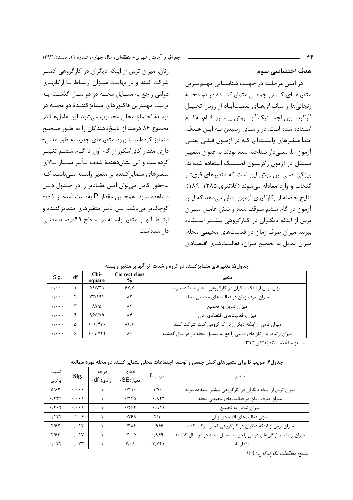هدف اختصاصی سوم

در ایسن مرحله در جهت شناسایی مهمترین متغیرهـای کـنش جمعـی متمایزکننـده در دو محلـهٔ زنجانی ها و میانـهای هـای نعمـتآبـاد از روش تحلیـل ", گرسسيون لجسستيک" بيا روش پيشيرو گيام به گيام استفاده شده است. در راستای رسیدن بـه ایـن هـدف، ابتدا متغیرهای وابسـتهای کـه در آزمـون قبلـی یعنـی آزمون t، معنىدار شناخته شده بودند به عنوان متغيير مستقل در آزمون رگرسیون لجستیک استفاده شدهاند. ویژگی اصلی این روش این است که متغیرهای قویتر انتخاب و وارد معادله می شوند (کلانتری،۱۳۸۵: ۱۸۹). نتايج حاصله از بكارگيري آزمون نشان مي دهد كه ايـن آزمون در گام ششم متوقف شده و شش عامـل ميـزان ترس از اینکه دیگران در کارگروهی بیشتر استفاده ببرند، میزان صرف زمان در فعالیتهای محیطی محله، میزان تمایل به تجمیع میزان، فعالیـتهـای اقتصـادی

زنان، میزان ترس از اینکه دیگران در کارگروهی کمتر شرکت کنند و در نهایت میـزان ارتبـاط بـا ارگانهـای دولتی راجع به مسـایل محلـه در دو سـال گذشـته بـه ترتیب مهمترین فاکتورهای متمایزکننـدهٔ دو محلـه در توسعهٔ اجتماع محلی محسوب می شود. این عامل هـا در مجموع ۸۶ درصد از پاسخدهندگان را به طـور صـحیح

جغرافیا و آمایش شهری-منطقهای، سال چهارم، شماره ۱۱، تابستان ۱۳۹۳

متمایز کردهاند. با ورود متغیرهای جدید به طور معنی-داری مقدار کایاسکور از گام اول تا گــام ششــم تغییــر کردهاست و این نشاندهندهٔ شدت تـأثیر بسـیار بـالای متغیرهای متمایز کننده بر متغیر وابسته مے باشـد کـه به-طور كامل مى توان اين مقادير را در جدول ذيل مشاهده نمود. همچنین مقدار P بهدست آمده از ۰/۰۱ کوچک تر می باشد، پس تأثیر متغیرهای متمایز کننده و ارتباط آنها با متغیر وابسته در سطح ۹۹درصد معنبی دا, شدەاست.

|                           |    |                               | .<br>.                         | .  .<br>- -                                                       |
|---------------------------|----|-------------------------------|--------------------------------|-------------------------------------------------------------------|
| Sig.                      | df | $Chi-$<br>square              | Correct class<br>$\frac{6}{9}$ | متغير                                                             |
| $\cdot$ / $\cdot$ $\cdot$ |    | ۵۹/۷۳۱                        | Y'                             | میزان ترس از اینکه دیگران در کارگروهی بیشتر استفاده ببرند         |
| $\cdot$ / $\cdot$ .       |    | YY/A9f                        | ٨٢                             | میزان صرف زمان در فعالیتهای محیطی محله                            |
| $\cdot$ / $\cdot$ .       |    | $\Delta V/\Delta$             | ٨٢                             | میزان تمایل به تجمیع                                              |
| $\cdot$ / $\cdot$ .       | ۴  | 981549                        | ۸۴                             | میزان، فعالیتهای اقتصادی زنان                                     |
| $\cdot$ / $\cdot$ $\cdot$ | ۵  | $\cdot \mathbf{y}/\mathbf{y}$ | $\Lambda \Upsilon/\Upsilon$    | میزان ترس از اینکه دیگران در کارگروهی کمتر شرکت کنند              |
| $\cdot \cdot \cdot$       | ۶  | $\cdot$ 9/755                 | ٨۶                             | میزان ارتباط با ارگانهای دولتی راجع به مسایل محله در دو سال گذشته |

جدول۵: متغیرهای متمایزکننده دو گروه و شدت اثر آنها بر متغیر وابسته

منبع: مطالعات نگارندگان،۱۳۹۲

جدول۶: ضریب B برای متغیرهای کنش جمعی و توسعه اجتماعات محلی متمایز کننده دو محله مورد مطالعه

| نسبت                     | Sig.                         | د, جه      | خطاي                       | $\beta$ ضریب                   | متغير                                                             |
|--------------------------|------------------------------|------------|----------------------------|--------------------------------|-------------------------------------------------------------------|
| برترى                    |                              | آزادی( df) | معيار (SE)                 |                                |                                                                   |
| $\Delta/\Lambda\Upsilon$ | $\cdot$ / $\cdot$ $\cdot$    |            | .779                       | $1/Y$ ۶                        | میزان ترس از اینکه دیگران در کارگروهی بیشتر استفاده ببرند         |
| .1549                    | $\cdot$ $\cdot$ $\cdot$      |            | .780                       | $-1/\lambda \Upsilon \Upsilon$ | میزان صرف زمان در فعالیتهای محیطی محله                            |
| .76.7                    | $\cdot$ / $\cdot$ )          |            | .1799                      | $-1911$                        | میزان تمایل به تجمیع                                              |
| .1157                    | .  . .9                      |            | .195 <sub>A</sub>          | $-\frac{1}{\sqrt{2}}$          | ميزان فعاليتهاى اقتصادى زنان                                      |
| Y/5Y                     | .7.15                        |            | .7719                      | .1999                          | میزان ترس از اینکه دیگران در کارگروهی کمتر شرکت کنند              |
| Y/FY                     | .1.1V                        |            | $\cdot$ /۴ $\cdot$ $\circ$ | .1999                          | میزان ارتباط با ارگانهای دولتی راجع به مسایل محله در دو سال گذشته |
| .1.79                    | $\cdot$ / $\cdot$ $\vee\tau$ |            | $Y/\cdot \Lambda$          | $-\mathbf{r}/\mathbf{v}$       | مقدار ثابت                                                        |

منبع: مطالعات نگارندگان،۱۳۹۲

 $f$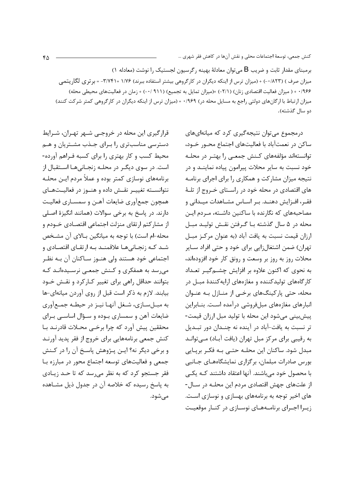برمبنای مقدار ثابت و ضریب B میتوان معادلهٔ بهینه رگرسیون لجستیک را نوشت (معادله ۱) میزان صرف ) (۸۲۳/۰-) + (میزان ترس از اینکه دیگران در کارگروهی بیشتر استفاده ببرند) ۱/۷۶ +۳/۷۴۱ = بر تری لگاریتمی ۰/۹۶۶ + ( میزان فعالیت اقتصادی زنان) (۲/۱-) +(میزان تمایل به تجمیع) (۹۱۱ /۰-) + زمان در فعالیتهای محیطی محله) میزان ارتباط با ارگانهای دولتی راجع به مسایل محله در) ۰/۹۶۹ + (میزان ترس از اینکه دیگران در کارگروهی کمتر شرکت کنند) دو سال گذشته).

قرارگیری این محله در خروجے شبهر تهیران، شیرایط دسترسی مناسبتری را بـرای جـذب مشـتریان و هـم محیط کسب و کار بهتری را برای کسبه فـراهم آورده-است. در سوی دیگـر در محلـه زنجـانی۵هـا اسـتقبال از برنامههای نوسازی کمتر بوده و عملاً مردم ایـن محلـه نتوانسته تغییـر نقـش داده و هنـوز در فعالیـتهـای همچون جمعآوري ضايعات آهـن و سمسـاري فعاليـت دارند. در پاسخ به برخی سوالات (همانند انگیزهٔ اصلی از مشارکتم ارتقای منزلت اجتماعی اقتصـادی خــودم و محله-ام است) با توجه به میانگین بـالای آن مشـخص شـد کـه زنجـانیهـا علاقمنـد بـه ارتقـای اقتصـادی و اجتماعی خود هستند ولی هنـوز سـاکنان آن بـه نظـر می سد به همفکری و کـنش جمعـی نرسـیدهانـد کـه بتوانند حداقل راهی برای تغییر کـارکرد و نقـش خـود بیابند. لازم به ذکر است قبل از روی آوردن میانهای-ها به میل سازی، شغل آنها نیز در حیطـه جمـع آوری ضایعات آهن و سمساری بـوده و سـؤال اساســی بـرای محققين پيش آورد كه چرا برخـي محـلات قادرنـد بـا کنش جمعی برنامههایی برای خروج از فقر پدید آورنـد و برخی دیگر نه؟ ایـن پـژوهش پاسـخ آن را در کـنش جمعی و فعالیتهای توسعه اجتماع محور در مبارزه با فقر جستجو کړد که به نظر می سد که تا حـد زيـادی به پاسخ رسیده که خلاصه آن در جدول ذیل مشـاهده می شود. درمجموع می توان نتیجه گیری کرد که میانهای های ساکن در نعمتآباد با فعالیتهای اجتماع محـور خـود، توانستهاند مؤلفههای کـنش جمعـی را بهتـر در محلـه خود نسبت به سایر محلات پیرامون پیاده نماینــد و در نتیجه میزان مشارکت و همکاری را برای اجرای برنامـه های اقتصادی در محله خود در راسـتای خـروج از تلـهٔ فقـر، افـزایش دهنـد. بـر اسـاس مشـاهدات میـدانی و مصاحبههای که نگارنده با ساکنین داشـته، مـردم ایـن محله در ۵ سال گذشته بـا گـرفتن نقـش توليـد مبـل ارزان قیمت نسبت به یافت آباد (به عنوان مرکز مبـل تهران) ضمن اشتغالزايي براي خود و حتى افراد سـاير محلات روز به روز بر وسعت و رونق کار خود افزودهاند، به نحوی که اکنون علاوه بر افزایش چشــم5یــر تعــداد کارگاههای تولیدکننده و مغازههای ارایهکنندهٔ مبـل در محله، حتی یارکینگهای برخبی از منـازل بـه عنـوان انبارهای مغازههای مبلفروشی درآمده است. بنـابراین پیش بینی می شود این محله با تولید مبل ارزان قیمت-تر نسبت به یافت-آباد در آینده نه چنـدان دور تبـدیل به رقیبی برای مرکز مبل تهران (یافت آبـاد) مـیتوانـد مبدل شود. ساکنان این محلـه حتـی بـه فکـر برپـایی بورس صادرات مبلمان، برگزاری نمایشگاههـای جـانبی با محصول خود میباشند. آنها اعتقاد داشتند کـه یکـی از علتهای جهش اقتصادی مردم این محلـه در سـال-های اخیر توجه به برنامههای بهسازی و نوسازی است. زیبرا اجبرای برنامـههـای نوسـازی در کنـار موقعیـت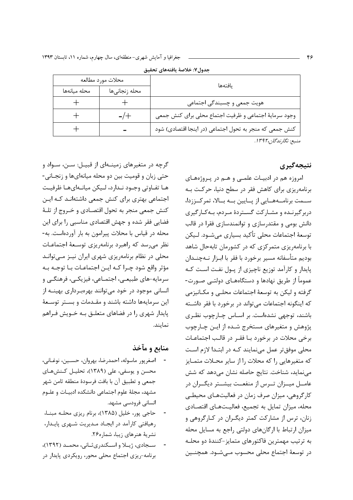| يافتهها                                                 | محلات مورد مطالعه |              |  |  |  |
|---------------------------------------------------------|-------------------|--------------|--|--|--|
|                                                         | محله زنجانىها     | محله ميانهها |  |  |  |
| هویت جمعی و چسبندگی اجتماعی                             |                   |              |  |  |  |
| وجود سرماية اجتماعي و ظرفيت اجتماع محلي براي كنش جمعي   | $-/+$             |              |  |  |  |
| كنش جمعي كه منجر به تحول اجتماعي (در اينجا اقتصادي) شود |                   |              |  |  |  |
| منىبع: نگارندگان،۱۳۹۲.                                  |                   |              |  |  |  |

جدول٧: خلاصة بافتههاي تحقيق

نتيجەگېرى

امروزه هم در ادبیـات علمــی و هــم در پــروژههــای برنامه یزی برای کاهش فقر در سطح دنیا، حرکت بـه ســمت برنامــههــایی از یــایین بــه بــالا، تمرکــززدا، دربر گیرنـده و مشـارکت گسـتردهٔ مـردم، بـهکـارگیری دانش بومی و مقتدرسازی و توانمندسازی فقرا در قالب توسعهٔ اجتماعات محلی تأکید بسیاری میشـود. لـیکن با برنامهریزی متمرکزی که در کشورمان تابهحال شاهد بوديم متأسفانه مسير برخورد با فقر با ابـزار نـهچنــدان یایدار و کارآمد توزیع ناچیزی از یـول نفـت اسـت کـه عموماً از طریق نهادها و دستگاههـای دولتـی صـورت-گرفته و ليكن به توسعهٔ اجتماعات محلبي و مكـانيزمي که اینگونه اجتماعات می تواند در برخورد با فقر داشــته باشند، توجهي نشدهاست. بر اســاس چــارچوب نظـري پژوهش و متغیرهای مستخرج شـده از ایـن چـارچوب برخی محلات در برخورد بـا فقـر در قالـب اجتماعـات محلی موفق تر عمل می نمایند کـه در ابتـدا لازم اسـت كه متغيرهايي را كه محلات را از ساير محـلات متمـايز مینماید، شناخت. نتایج حاصله نشان میدهد که شش عامــل ميــزان تــرس از منفعــت بيشــتر ديگــران در کارگروهی، میزان صرف زمان در فعالیتهـای محیطـی محله، میزان تمایل به تجمیع، فعالیـتهـای اقتصـادی زنان، ترس از مشارکت کمتر دیگران در کـارگروهی و میزان ارتباط با ارگانهای دولتی راجع به مسایل محله به ترتیب مهمترین فاکتورهای متمایز-کنندهٔ دو محلـه در توسعۂ اجتماع محلی محسوب مے شـود. همچنــین

گرچه در متغیرهای زمینـهای از قبیـل: سـن، سـواد و حتی زبان و قومیت بین دو محله میانهایها و زنجـانی-هـا تفـاوتي وجـود نـدارد، لـيكن ميانـهايهـا ظرفيـت اجتماعی بهتری برای کنش جمعی داشتهانـد کـه ایـن كنش جمعي منجر به تحول اقتصادي و خـروج از تلـهٔ فضایی فقر شده و جهش اقتصادی مناسبی را برای این محله در قیاس با محلات پیرامون به بار آوردهاست. به-نظر می رسد که راهبرد برنامهریزی توسعهٔ اجتماعـات محلی در نظام برنامهریزی شهری ایران نیـز مـیتوانـد مؤثر واقع شود چـرا كــه ايــن اجتماعــات بــا توجــه بــه سرمايه-هاي طبيعـي، اجتمـاعي، فيزيكـي، فرهنگـي و انسانی موجود در خود می توانند بهرهبرداری بهینـه از این سرمایهها داشته باشند و مقـدمات و بسـتر توسـعهٔ پایدار شهری را در فضاهای متعلـق بـه خـویش فـراهم نماىند.

### منابع و مآخذ

- اصغريور ماسوله، احمدرضا، بهروان، حسـين، نوغـاني، محسن و يوسفي، علي (١٣٨٩)، تحليـل كـنشهـاي جمعي و تطبيق آن با بافت فرسودهٔ منطقه ثامن شهر مشهد، مجلهٔ علوم اجتماعی دانشکده ادبیـات و علـوم انسانی فرودسی مشهد.
- حاجی پور، خلیل (۱۳۸۵)، برنام ریزی محلـه مبنـا، رهیافتی کارآمد در ایجاد مدیریت شهری پایدار، نشریهٔ هنرهای زیبا، شماره۲۶.
- سـجادي، ژيــلا و اســكندري ثــاني، محمــد (١٣٩٢)، برنامه-ریزی اجتماع محلی محور، رویکردی پایدار در

۴۶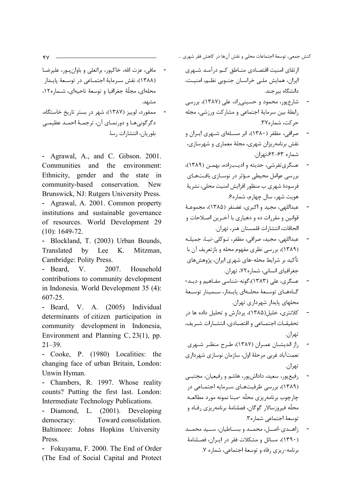ا, تقای امنیت اقتصـادی منــاطق کــم در آمــد شــهری ایران، همایش ملبی خراسان جنوبی نظم، امنیت، دانشگاه پ حند.

- شارع یور، محمود و حسینی راد، علی (۱۳۸۷)، بررسی رابطهٔ بین سرمایهٔ اجتماعی و مشارکت ورزشی، مجله حركت، شماره ٣٧.
- صرافی، مظفر (۱۳۸۰)، ابر مسـلهای شـهری ایـران و نقش برنامه ریزان شهری، مجلهٔ معماری و شهرسازی، شماره ۶۳–۶۲٪ تهران.
- عسگری تفرشی، حدیثه و ادیبزاده، بهمـن (۱۳۸۹)، بررسی عوامل محیطی مـؤثر در نوسـازی بافـتھـای فرسودهٔ شهری ب منظور افزایش امنیت محلی، نشریهٔ هويت شهر، سال چهارم، شماره۶.
- عبداللهي، مجيد و اکبري، غضنفر (١٣٨۵)، مجموعـهٔ قوانین و مقررات ده و دهیاری با آخیرین اصلاحات و الحاقات، انتشارات قلمستان هنر، تهران.
- عبداللهي، مجيد، صرافي، مظفر، تـوكلي-نيــا، جميلــه (۱۳۸۹)، بررسی نظری مفهوم محله و بازتعریف آن با تأکید بر شرایط محله-های شهری ایران، پژوهشهای جغرافیای انسانی، شماره۷۲، تهران.
- عسگری، علی (۱۳۸۳)،گونه-شناسی مفـاهیم و دیـد-گــاەھــاي توســعهٔ محلــهاي پايــدار، ســمينار توســعهٔ محلهای پایدار شهرداری تهران.
- کلانتری، خلیل(۱۳۸۵)، پردارش و تحلیل داده ها در تحقيقـات اجتمـاعي و اقتصـادي، انتشـارات شـريف، تهران.
- راز اندیشــان عمــران (۱۳۸۷)، طـرح منظـر شــهری  $\blacksquare$ نعمتآباد غربي مرحلهٔ اول، سازمان نوسازي شهرداري تهران.
- رفیعپور، سعید، داداشپور، هاشم و رفیعیان، مجتبـی (۱۳۸۹)، بررسی ظرفیتهای سرمایه اجتماعی در چارچوب برنامهریزی محلّه -مبنا نمونه مورد مطالعـه محلّه فيروزسالار گوگان، فصلنامهٔ برنامهریزی رفـاه و توسعة اجتماعي شماره٣.
- ;اهـدي-اصـل، محمـد و بسـاطيان، سـيد محمـد (۱۳۹۰)، مسائل و مشکلات فقر در ایران، فصلنامهٔ برنامه-ريزي رفاه و توسعهٔ اجتماعي، شماره ٧.
- مافي، عزت الله، خاكيور، براتعلي و باوان بور، عليرضـا (١٣٨٨)، نقش سـرماية اجتمـاعي در توسـعة يايـدار محله|ی، مجلّهٔ جغرافیا و توسعهٔ ناحیه|ی، شــماره۱۲، مشهد.
- ممفورد، لوييز (١٣٨٧)، شهر در بستر تاريخ خاستگاه، دگرگونیهـا و دورنمـای آن، ترجمـهٔ احمـد عظیمـی بلوريان، انتشارات رسا.

- Agrawal, A., and C. Gibson. 2001. Communities and the environment: Ethnicity, gender and the state  $\overline{\mathbf{m}}$ community-based conservation. **New** Brunswick, NJ: Rutgers University Press. - Agrawal, A. 2001. Common property institutions and sustainable governance of resources. World Development 29  $(10): 1649-72.$ 

- Blockland, T. (2003) Urban Bounds, Translated  $\mathbf{b}$ Lee  $K_{\cdot}$ Mitzman. Cambridge: Polity Press.

- Beard,  $V_{.}$ 2007. Household contributions to community development in Indonesia. World Development 35 (4): 607-25.

Individual - Beard, V. A. (2005) determinants of citizen participation in community development in Indonesia, Environment and Planning C,  $23(1)$ , pp.  $21 - 39$ .

- Cooke, P. (1980) Localities: the changing face of urban Britain, London: Unwin Hyman.

- Chambers, R. 1997. Whose reality counts? Putting the first last. London: Intermediate Technology Publications.

- Diamond, L. (2001). Developing Toward consolidation. democracy: Baltimore: Johns Hopkins University Press

- Fokuyama, F. 2000. The End of Order (The End of Social Capital and Protect)